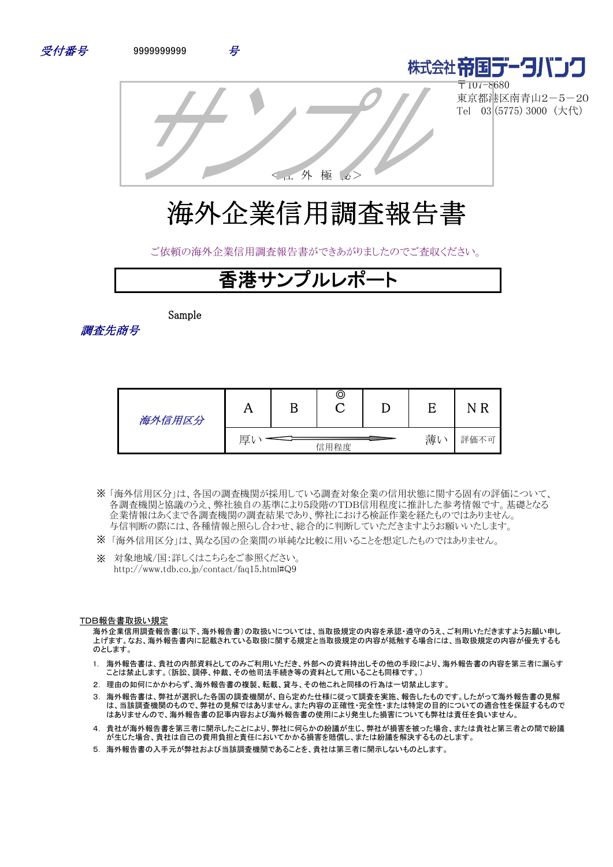



〒107-8680 東京都港区南青山2-5-20 Tel 03 (5775) 3000 (大代)

<社 外 極 秘>

# 海外企業信用調査報告書

ご依頼の海外企業信用調査報告書ができあがりましたのでご査収ください。

## 香港サンプルレポート

Sample

調査先商号

| 海外信用区分 | 77 | ©    |    |      |
|--------|----|------|----|------|
|        | 厚  | 信用程度 | 薄い | 評価不可 |

- 「海外信用区分」は、各国の調査機関が採用している調査対象企業の信用状態に関する固有の評価について、 ※ 各調査機関と協議のうえ、弊社独自の基準により5段階のTDB信用程度に推計した参考情報です。基礎となる 企業情報はあくまで各調査機関の調査結果であり、弊社における検証作業を経たものではありません。 与信判断の際には、各種情報と照らし合わせ、総合的に判断していただきますようお願いいたします。
- ※ 「海外信用区分」は、異なる国の企業間の単純な比較に用いることを想定したものではありません。
- ※ 対象地域/国:詳しくはこちらをご参照ください。 http://www.tdb.co.jp/contact/faq15.html#Q9

#### TDB報告書取扱い規定

海外企業信用調査報告書(以下、海外報告書)の取扱いについては、当取扱規定の内容を承認・遵守のうえ、ご利用いただきますようお願い申し 上げます。なお、海外報告書内に記載されている取扱に関する規定と当取扱規定の内容が抵触する場合には、当取扱規定の内容が優先するも のとします。

- 1. 海外報告書は、貴社の内部資料としてのみご利用いただき、外部への資料持出しその他の手段により、海外報告書の内容を第三者に漏らす ことは禁止します。(訴訟、調停、仲裁、その他司法手続き等の資料として用いることも同様です。)
- 2. 理由の如何にかかわらず、海外報告書の複製、転載、貸与、その他これと同様の行為は一切禁止します。
- 3. 海外報告書は、弊社が選択した各国の調査機関が、自ら定めた仕様に従って調査を実施、報告したものです。したがって海外報告書の見解 は、当該調査機関のもので、弊社の見解ではありません。また内容の正確性・完全性・または特定の目的についての適合性を保証するもので はありませんので、海外報告書の記事内容および海外報告書の使用により発生した損害についても弊社は責任を負いません。
- 4. 貴社が海外報告書を第三者に開示したことにより、弊社に何らかの紛議が生じ、弊社が損害を被った場合、または貴社と第三者との間で紛議 が生じた場合、貴社は自己の費用負担と責任においてかかる損害を賠償し、または紛議を解決するものとします。
- 5. 海外報告書の入手元が弊社および当該調査機関であることを、貴社は第三者に開示しないものとします。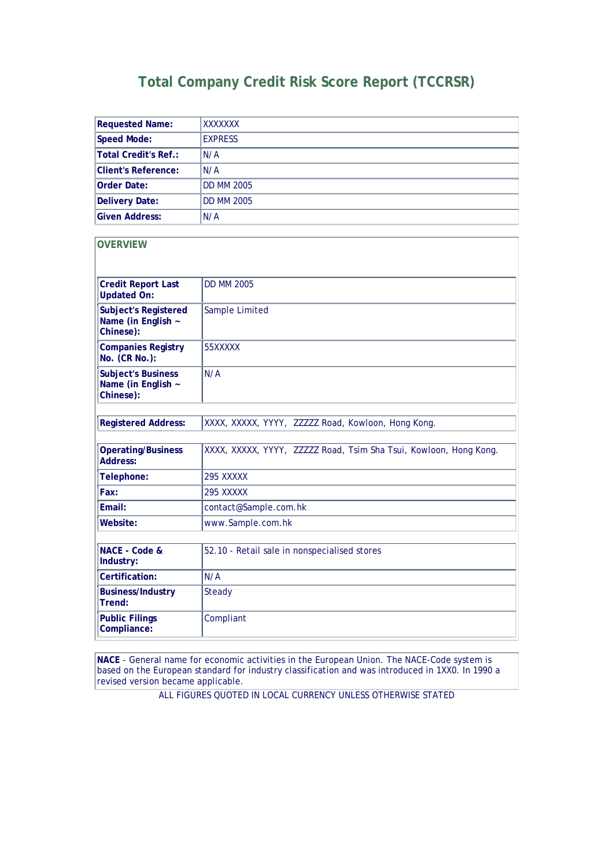### **Total Company Credit Risk Score Report (TCCRSR)**

| <b>Requested Name:</b>                                         | XXXXXXX                                                           |
|----------------------------------------------------------------|-------------------------------------------------------------------|
| <b>Speed Mode:</b>                                             | <b>EXPRESS</b>                                                    |
| <b>Total Credit's Ref.:</b>                                    | N/A                                                               |
| <b>Client's Reference:</b>                                     | N/A                                                               |
| <b>Order Date:</b>                                             | <b>DD MM 2005</b>                                                 |
| <b>Delivery Date:</b>                                          | <b>DD MM 2005</b>                                                 |
| <b>Given Address:</b>                                          | N/A                                                               |
| <b>OVERVIEW</b>                                                |                                                                   |
| <b>Credit Report Last</b><br><b>Updated On:</b>                | <b>DD MM 2005</b>                                                 |
| <b>Subject's Registered</b><br>Name (in English ~<br>Chinese): | Sample Limited                                                    |
| <b>Companies Registry</b><br>No. (CR No.):                     | 55XXXXX                                                           |
| <b>Subject's Business</b><br>Name (in English ~<br>Chinese):   | N/A                                                               |
| <b>Registered Address:</b>                                     | XXXX, XXXXX, YYYY, ZZZZZ Road, Kowloon, Hong Kong.                |
| <b>Operating/Business</b><br>Address:                          | XXXX, XXXXX, YYYY, ZZZZZ Road, Tsim Sha Tsui, Kowloon, Hong Kong. |
| Telephone:                                                     | <b>295 XXXXX</b>                                                  |
| Fax:                                                           | 295 XXXXX                                                         |
| Email:                                                         | contact@Sample.com.hk                                             |
| Website:                                                       | www.Sample.com.hk                                                 |
| NACE - Code &<br>Industry:                                     | 52.10 - Retail sale in nonspecialised stores                      |
| Certification:                                                 | N/A                                                               |
| <b>Business/Industry</b><br>Trend:                             | Steady                                                            |
| <b>Public Filings</b><br>Compliance:                           | Compliant                                                         |

**NACE** - General name for economic activities in the European Union. The NACE-Code system is based on the European standard for industry classification and was introduced in 1XX0. In 1990 a revised version became applicable.

ALL FIGURES QUOTED IN LOCAL CURRENCY UNLESS OTHERWISE STATED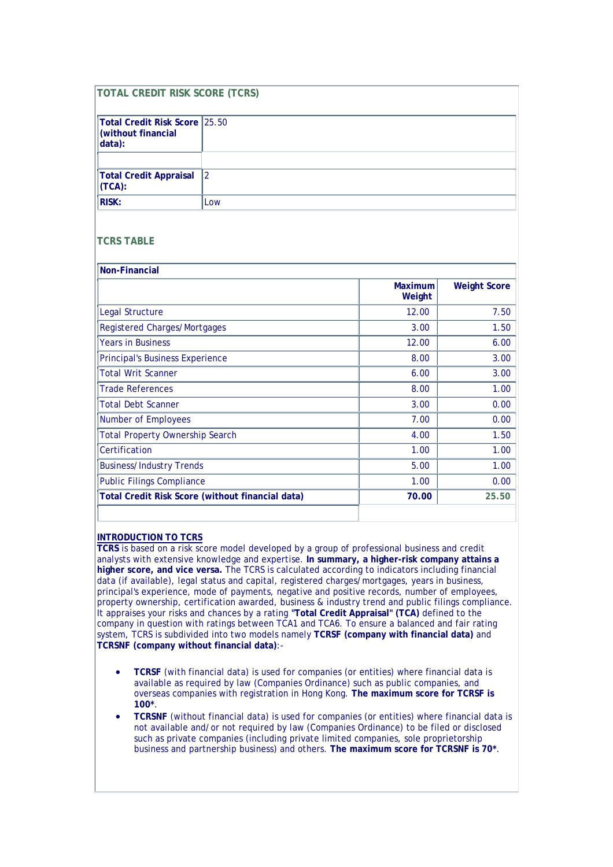| <b>TOTAL CREDIT RISK SCORE (TCRS)</b>                         |                                                  |                          |                     |
|---------------------------------------------------------------|--------------------------------------------------|--------------------------|---------------------|
|                                                               |                                                  |                          |                     |
| Total Credit Risk Score 25.50<br>(without financial<br>data): |                                                  |                          |                     |
|                                                               |                                                  |                          |                     |
| <b>Total Credit Appraisal</b><br>(TCA):                       | $\overline{2}$                                   |                          |                     |
| <b>RISK:</b>                                                  | Low                                              |                          |                     |
| <b>TCRS TABLE</b>                                             |                                                  |                          |                     |
| <b>Non-Financial</b>                                          |                                                  |                          |                     |
|                                                               |                                                  | <b>Maximum</b><br>Weight | <b>Weight Score</b> |
| Legal Structure                                               |                                                  | 12.00                    | 7.50                |
| <b>Registered Charges/Mortgages</b>                           |                                                  | 3.00                     | 1.50                |
| <b>Years in Business</b>                                      |                                                  | 12.00                    | 6.00                |
| <b>Principal's Business Experience</b><br>8.00                |                                                  |                          | 3.00                |
| <b>Total Writ Scanner</b>                                     |                                                  | 6.00                     | 3.00                |
| <b>Trade References</b>                                       |                                                  | 8.00                     | 1.00                |
| <b>Total Debt Scanner</b>                                     |                                                  | 3.00                     | 0.00                |
| Number of Employees                                           |                                                  | 7.00                     | 0.00                |
| <b>Total Property Ownership Search</b>                        |                                                  | 4.00                     | 1.50                |
| Certification<br>1.00                                         |                                                  |                          | 1.00                |
| <b>Business/Industry Trends</b>                               |                                                  | 5.00                     | 1.00                |
| <b>Public Filings Compliance</b>                              |                                                  | 1.00                     | 0.00                |
|                                                               | Total Credit Risk Score (without financial data) | 70.00                    | 25.50               |
|                                                               |                                                  |                          |                     |

#### **INTRODUCTION TO TCRS**

**TCRS** is based on a risk score model developed by a group of professional business and credit analysts with extensive knowledge and expertise. **In summary, a higher-risk company attains a higher score, and vice versa.** The TCRS is calculated according to indicators including financial data (if available), legal status and capital, registered charges/mortgages, years in business, principal's experience, mode of payments, negative and positive records, number of employees, property ownership, certification awarded, business & industry trend and public filings compliance. It appraises your risks and chances by a rating **"Total Credit Appraisal" (TCA)** defined to the company in question with ratings between TCA1 and TCA6. To ensure a balanced and fair rating system, TCRS is subdivided into two models namely **TCRSF (company with financial data)** and **TCRSNF (company without financial data)**:-

- **TCRSF** (with financial data) is used for companies (or entities) where financial data is available as required by law (Companies Ordinance) such as public companies, and overseas companies with registration in Hong Kong. **The maximum score for TCRSF is 100\***.
- **TCRSNF** (without financial data) is used for companies (or entities) where financial data is not available and/or not required by law (Companies Ordinance) to be filed or disclosed such as private companies (including private limited companies, sole proprietorship business and partnership business) and others. **The maximum score for TCRSNF is 70\***.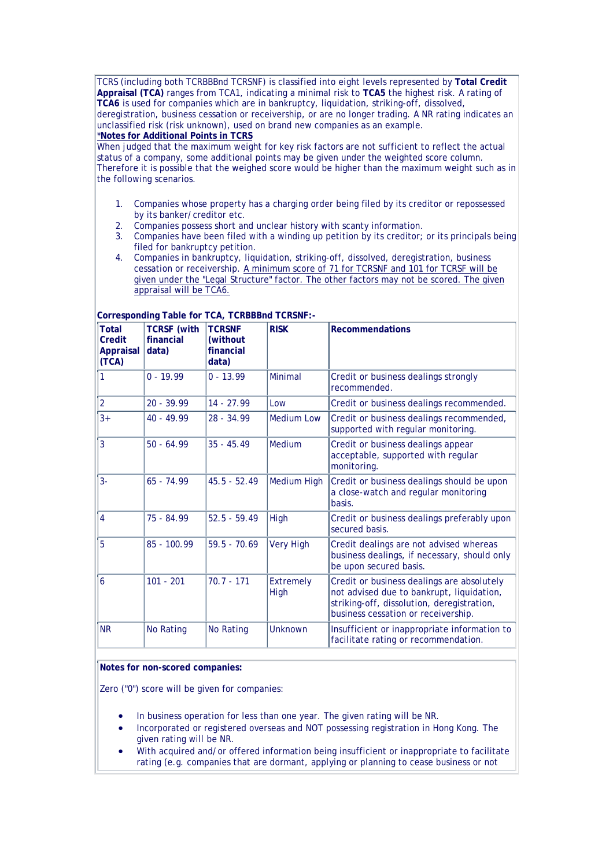TCRS (including both TCRBBBnd TCRSNF) is classified into eight levels represented by **Total Credit Appraisal (TCA)** ranges from TCA1, indicating a minimal risk to **TCA5** the highest risk. A rating of **TCA6** is used for companies which are in bankruptcy, liquidation, striking-off, dissolved, deregistration, business cessation or receivership, or are no longer trading. A NR rating indicates an unclassified risk (risk unknown), used on brand new companies as an example.

#### \***Notes for Additional Points in TCRS**

When judged that the maximum weight for key risk factors are not sufficient to reflect the actual status of a company, some additional points may be given under the weighted score column. Therefore it is possible that the weighed score would be higher than the maximum weight such as in the following scenarios.

- 1. Companies whose property has a charging order being filed by its creditor or repossessed by its banker/creditor etc.
- 2. Companies possess short and unclear history with scanty information.<br>3. Companies have been filed with a winding up petition by its creditor;
- Companies have been filed with a winding up petition by its creditor; or its principals being filed for bankruptcy petition.
- 4. Companies in bankruptcy, liquidation, striking-off, dissolved, deregistration, business cessation or receivership. A minimum score of 71 for TCRSNF and 101 for TCRSF will be given under the "Legal Structure" factor. The other factors may not be scored. The given appraisal will be TCA6.

| <b>Total</b><br>Credit<br><b>Appraisal</b><br>(TCA) | <b>TCRSF</b> (with<br>financial<br>data) | <b>TCRSNF</b><br>(without)<br>financial<br>data) | <b>RISK</b>              | <b>Recommendations</b>                                                                                                                                                       |
|-----------------------------------------------------|------------------------------------------|--------------------------------------------------|--------------------------|------------------------------------------------------------------------------------------------------------------------------------------------------------------------------|
| 1                                                   | $0 - 19.99$                              | $0 - 13.99$                                      | <b>Minimal</b>           | Credit or business dealings strongly<br>recommended.                                                                                                                         |
| $\overline{2}$                                      | $20 - 39.99$                             | $14 - 27.99$                                     | Low                      | Credit or business dealings recommended.                                                                                                                                     |
| $3+$                                                | $40 - 49.99$                             | $28 - 34.99$                                     | <b>Medium Low</b>        | Credit or business dealings recommended,<br>supported with regular monitoring.                                                                                               |
| 3                                                   | $50 - 64.99$                             | $35 - 45.49$                                     | Medium                   | Credit or business dealings appear<br>acceptable, supported with regular<br>monitoring.                                                                                      |
| $3-$                                                | $65 - 74.99$                             | $45.5 - 52.49$                                   | Medium High              | Credit or business dealings should be upon<br>a close-watch and regular monitoring<br>basis.                                                                                 |
| 4                                                   | 75 - 84.99                               | $52.5 - 59.49$                                   | High                     | Credit or business dealings preferably upon<br>secured basis.                                                                                                                |
| 5                                                   | $85 - 100.99$                            | $59.5 - 70.69$                                   | <b>Very High</b>         | Credit dealings are not advised whereas<br>business dealings, if necessary, should only<br>be upon secured basis.                                                            |
| 6                                                   | $101 - 201$                              | $70.7 - 171$                                     | <b>Extremely</b><br>High | Credit or business dealings are absolutely<br>not advised due to bankrupt, liquidation,<br>striking-off, dissolution, deregistration,<br>business cessation or receivership. |
| <b>NR</b>                                           | <b>No Rating</b>                         | <b>No Rating</b>                                 | Unknown                  | Insufficient or inappropriate information to<br>facilitate rating or recommendation.                                                                                         |

#### **Corresponding Table for TCA, TCRBBBnd TCRSNF:-**

#### **Notes for non-scored companies:**

Zero ("0") score will be given for companies:

- In business operation for less than one year. The given rating will be NR.
- Incorporated or registered overseas and NOT possessing registration in Hong Kong. The given rating will be NR.
- With acquired and/or offered information being insufficient or inappropriate to facilitate rating (e.g. companies that are dormant, applying or planning to cease business or not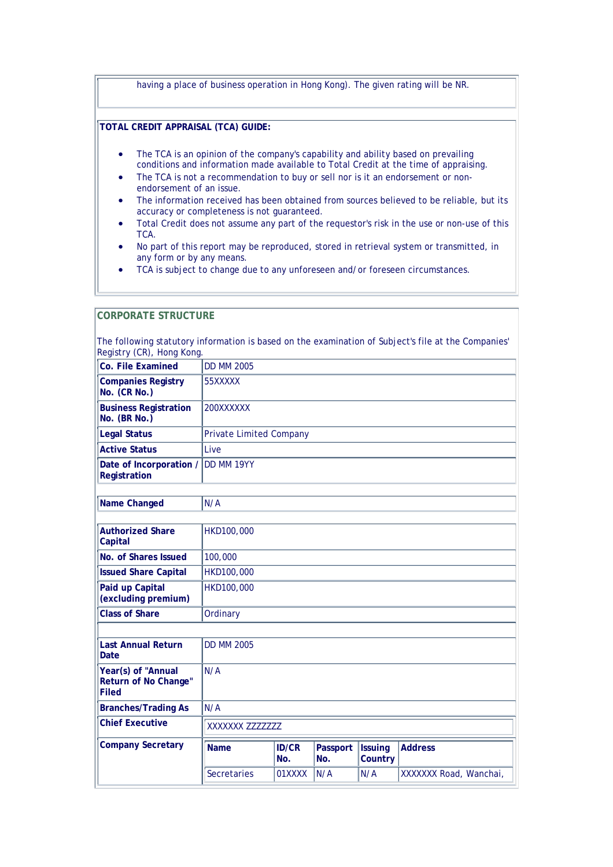|                        | having a place of business operation in Hong Kong). The given rating will be NR.                                                                                                                                                                                                         |  |  |  |  |
|------------------------|------------------------------------------------------------------------------------------------------------------------------------------------------------------------------------------------------------------------------------------------------------------------------------------|--|--|--|--|
|                        |                                                                                                                                                                                                                                                                                          |  |  |  |  |
|                        | TOTAL CREDIT APPRAISAL (TCA) GUIDE:                                                                                                                                                                                                                                                      |  |  |  |  |
| $\bullet$<br>$\bullet$ | The TCA is an opinion of the company's capability and ability based on prevailing<br>conditions and information made available to Total Credit at the time of appraising.<br>The TCA is not a recommendation to buy or sell nor is it an endorsement or non-<br>endorsement of an issue. |  |  |  |  |
| $\bullet$              | The information received has been obtained from sources believed to be reliable, but its<br>accuracy or completeness is not quaranteed.                                                                                                                                                  |  |  |  |  |
| $\bullet$              | Total Credit does not assume any part of the requestor's risk in the use or non-use of this<br>TCA.                                                                                                                                                                                      |  |  |  |  |
| $\bullet$              | No part of this report may be reproduced, stored in retrieval system or transmitted, in<br>any form or by any means.                                                                                                                                                                     |  |  |  |  |

• TCA is subject to change due to any unforeseen and/or foreseen circumstances.

#### **CORPORATE STRUCTURE**  The following statutory information is based on the examination of Subject's file at the Companies' Registry (CR), Hong Kong. **Co. File Examined** DD MM 2005 **Companies Registry No. (CR No.)** 55XXXXX **Business Registration No. (BR No.)** 200XXXXXX Legal Status **Private Limited Company Active Status** Live **Date of Incorporation / Registration** DD MM 19YY **Name Changed** N/A **Authorized Share Capital** HKD100,000 **No. of Shares Issued** | 100,000 **Issued Share Capital** HKD100,000 **Paid up Capital (excluding premium)** HKD100,000 **Class of Share Ordinary Last Annual Return Date** DD MM 2005 **Year(s) of "Annual Return of No Change" Filed** N/A **Branches/Trading As** N/A **Chief Executive** XXXXXXX ZZZZZZZ **Company Secretary Name ID/CR No. Passport No. Issuing Country Address** Secretaries 01XXXX N/A N/A XXXXXXX Road, Wanchai,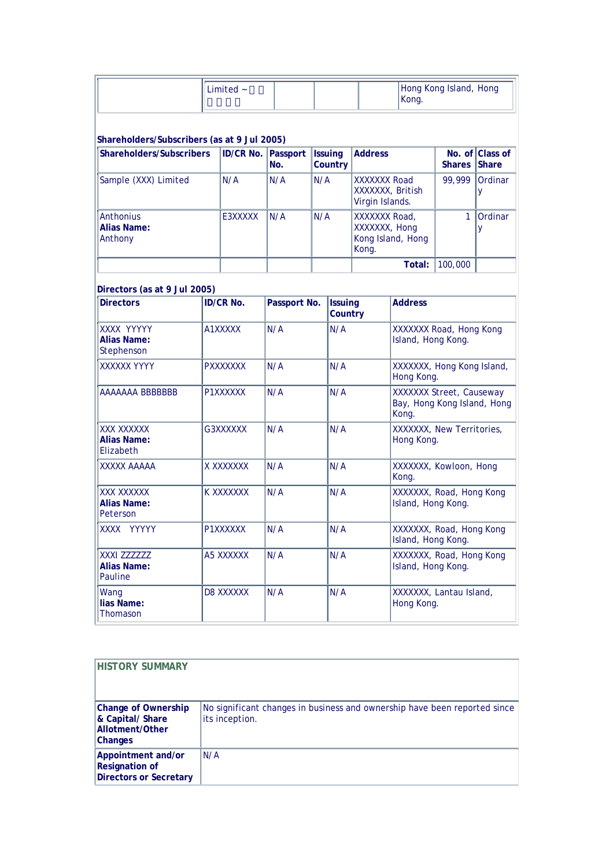| Limited $\sim$ | Hong Kong Island, Hong |
|----------------|------------------------|
|                | Kong.                  |

#### **Shareholders/Subscribers (as at 9 Jul 2005)**

| Shareholders/Subscribers                   | <b>ID/CR No. Passport</b> | No. | <b>Issuing</b><br>Country | <b>Address</b>                                               | <b>Shares Share</b> | No. of Class of |
|--------------------------------------------|---------------------------|-----|---------------------------|--------------------------------------------------------------|---------------------|-----------------|
| Sample (XXX) Limited                       | N/A                       | N/A | N/A                       | <b>XXXXXXX Road</b><br>XXXXXXX, British<br>Virgin Islands.   | 99.999              | Ordinar         |
| <b>Anthonius</b><br>Alias Name:<br>Anthony | E3XXXXX                   | N/A | N/A                       | XXXXXXX Road,<br>XXXXXXX, Hong<br>Kong Island, Hong<br>Kong. |                     | Ordinar         |
|                                            |                           |     |                           | Total:                                                       | 100,000             |                 |

| Directors (as at 9 Jul 2005)                   |                  |              |                           |                                                                         |
|------------------------------------------------|------------------|--------------|---------------------------|-------------------------------------------------------------------------|
| <b>Directors</b>                               | <b>ID/CR No.</b> | Passport No. | <b>Issuing</b><br>Country | <b>Address</b>                                                          |
| XXXX YYYYY<br><b>Alias Name:</b><br>Stephenson | A1XXXXX          | N/A          | N/A                       | XXXXXXX Road, Hong Kong<br>Island, Hong Kong.                           |
| <b>XXXXXX YYYY</b>                             | <b>PXXXXXXX</b>  | N/A          | N/A                       | XXXXXX, Hong Kong Island,<br>Hong Kong.                                 |
| AAAAAAA BBBBBBB                                | P1XXXXXX         | N/A          | N/A                       | <b>XXXXXXX</b> Street, Causeway<br>Bay, Hong Kong Island, Hong<br>Kong. |
| XXX XXXXXX<br><b>Alias Name:</b><br>Elizabeth  | G3XXXXXX         | N/A          | N/A                       | XXXXXX, New Territories,<br>Hong Kong.                                  |
| <b>AAAAA XXXXX</b>                             | X XXXXXXX        | N/A          | N/A                       | XXXXXX, Kowloon, Hong<br>Kong.                                          |
| XXX XXXXXX<br><b>Alias Name:</b><br>Peterson   | K XXXXXXX        | N/A          | N/A                       | XXXXXX, Road, Hong Kong<br>Island, Hong Kong.                           |
| XXXX YYYYY                                     | P1XXXXXX         | N/A          | N/A                       | XXXXXXX, Road, Hong Kong<br>Island, Hong Kong.                          |
| XXXI ZZZZZZZ<br><b>Alias Name:</b><br>Pauline  | A5 XXXXXX        | N/A          | N/A                       | XXXXXXX, Road, Hong Kong<br>Island, Hong Kong.                          |
| Wang<br>lias Name:<br>Thomason                 | D8 XXXXXX        | N/A          | N/A                       | XXXXXXX, Lantau Island,<br>Hong Kong.                                   |

| <b>HISTORY SUMMARY</b>                                                              |                                                                                             |
|-------------------------------------------------------------------------------------|---------------------------------------------------------------------------------------------|
| <b>Change of Ownership</b><br>& Capital/ Share<br>Allotment/Other<br><b>Changes</b> | No significant changes in business and ownership have been reported since<br>its inception. |
| Appointment and/or<br><b>Resignation of</b><br><b>Directors or Secretary</b>        | N/A                                                                                         |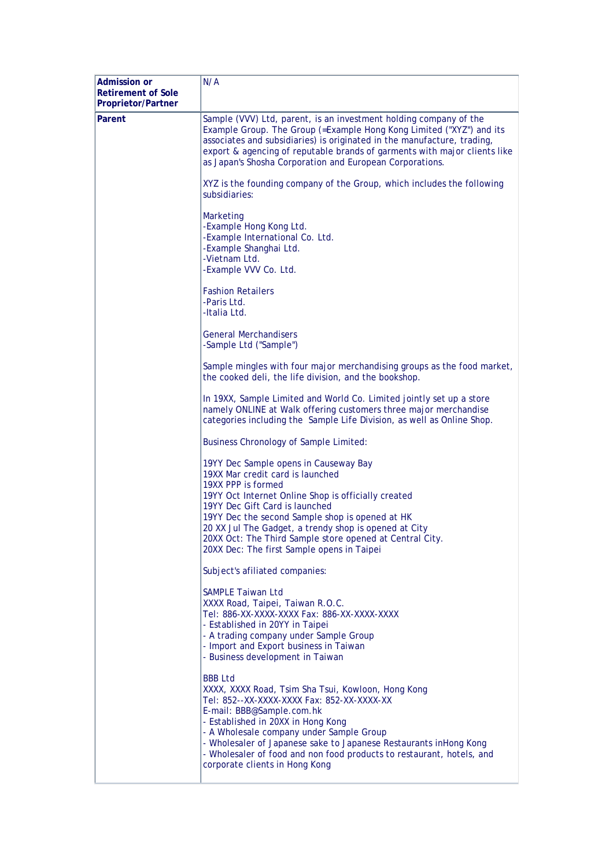| <b>Admission or</b><br><b>Retirement of Sole</b><br>Proprietor/Partner | N/A                                                                                                                                                                                                                                                                                                                                                                                                               |
|------------------------------------------------------------------------|-------------------------------------------------------------------------------------------------------------------------------------------------------------------------------------------------------------------------------------------------------------------------------------------------------------------------------------------------------------------------------------------------------------------|
| Parent                                                                 | Sample (VVV) Ltd, parent, is an investment holding company of the<br>Example Group. The Group (=Example Hong Kong Limited ("XYZ") and its<br>associates and subsidiaries) is originated in the manufacture, trading,<br>export & agencing of reputable brands of garments with major clients like<br>as Japan's Shosha Corporation and European Corporations.                                                     |
|                                                                        | XYZ is the founding company of the Group, which includes the following<br>subsidiaries:                                                                                                                                                                                                                                                                                                                           |
|                                                                        | Marketing<br>-Example Hong Kong Ltd.<br>-Example International Co. Ltd.<br>-Example Shanghai Ltd.<br>-Vietnam Ltd.<br>-Example VVV Co. Ltd.                                                                                                                                                                                                                                                                       |
|                                                                        | <b>Fashion Retailers</b><br>-Paris Ltd.<br>-Italia Ltd.                                                                                                                                                                                                                                                                                                                                                           |
|                                                                        | <b>General Merchandisers</b><br>-Sample Ltd ("Sample")                                                                                                                                                                                                                                                                                                                                                            |
|                                                                        | Sample mingles with four major merchandising groups as the food market,<br>the cooked deli, the life division, and the bookshop.                                                                                                                                                                                                                                                                                  |
|                                                                        | In 19XX, Sample Limited and World Co. Limited jointly set up a store<br>namely ONLINE at Walk offering customers three major merchandise<br>categories including the Sample Life Division, as well as Online Shop.                                                                                                                                                                                                |
|                                                                        | <b>Business Chronology of Sample Limited:</b>                                                                                                                                                                                                                                                                                                                                                                     |
|                                                                        | 19YY Dec Sample opens in Causeway Bay<br>19XX Mar credit card is launched<br>19XX PPP is formed<br>19YY Oct Internet Online Shop is officially created<br>19YY Dec Gift Card is launched<br>19YY Dec the second Sample shop is opened at HK<br>20 XX Jul The Gadget, a trendy shop is opened at City<br>20XX Oct: The Third Sample store opened at Central City.<br>20XX Dec: The first Sample opens in Taipei    |
|                                                                        | Subject's afiliated companies:                                                                                                                                                                                                                                                                                                                                                                                    |
|                                                                        | <b>SAMPLE Taiwan Ltd</b><br>XXXX Road, Taipei, Taiwan R.O.C.<br>Tel: 886-XX-XXXX-XXXX Fax: 886-XX-XXXX-XXXX<br>- Established in 20YY in Taipei<br>- A trading company under Sample Group<br>- Import and Export business in Taiwan<br>- Business development in Taiwan                                                                                                                                            |
|                                                                        | <b>BBB Ltd</b><br>XXXX, XXXX Road, Tsim Sha Tsui, Kowloon, Hong Kong<br>Tel: 852--XX-XXXX-XXXX Fax: 852-XX-XXXX-XX<br>E-mail: BBB@Sample.com.hk<br>- Established in 20XX in Hong Kong<br>- A Wholesale company under Sample Group<br>- Wholesaler of Japanese sake to Japanese Restaurants inHong Kong<br>- Wholesaler of food and non food products to restaurant, hotels, and<br>corporate clients in Hong Kong |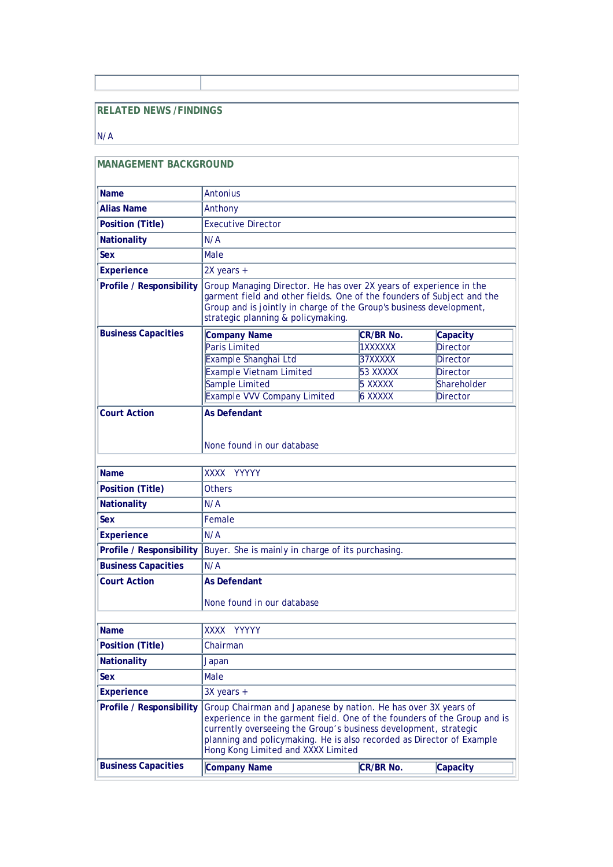### **RELATED NEWS /FINDINGS**

#### $N/A$

| <b>MANAGEMENT BACKGROUND</b>    |                                                                                                                                                                                                                                                                                                                               |                  |                 |  |  |  |
|---------------------------------|-------------------------------------------------------------------------------------------------------------------------------------------------------------------------------------------------------------------------------------------------------------------------------------------------------------------------------|------------------|-----------------|--|--|--|
| <b>Name</b>                     | <b>Antonius</b>                                                                                                                                                                                                                                                                                                               |                  |                 |  |  |  |
| <b>Alias Name</b>               | Anthony                                                                                                                                                                                                                                                                                                                       |                  |                 |  |  |  |
| <b>Position (Title)</b>         | <b>Executive Director</b>                                                                                                                                                                                                                                                                                                     |                  |                 |  |  |  |
| <b>Nationality</b>              | N/A                                                                                                                                                                                                                                                                                                                           |                  |                 |  |  |  |
| Sex                             | Male                                                                                                                                                                                                                                                                                                                          |                  |                 |  |  |  |
| <b>Experience</b>               | 2X years +                                                                                                                                                                                                                                                                                                                    |                  |                 |  |  |  |
| <b>Profile / Responsibility</b> | Group Managing Director. He has over 2X years of experience in the<br>garment field and other fields. One of the founders of Subject and the<br>Group and is jointly in charge of the Group's business development,<br>strategic planning & policymaking.                                                                     |                  |                 |  |  |  |
| <b>Business Capacities</b>      | <b>Company Name</b>                                                                                                                                                                                                                                                                                                           | <b>CR/BR No.</b> | Capacity        |  |  |  |
|                                 | <b>Paris Limited</b>                                                                                                                                                                                                                                                                                                          | 1XXXXXX          | <b>Director</b> |  |  |  |
|                                 | Example Shanghai Ltd                                                                                                                                                                                                                                                                                                          | 37XXXXX          | <b>Director</b> |  |  |  |
|                                 | <b>Example Vietnam Limited</b>                                                                                                                                                                                                                                                                                                | 53 XXXXX         | <b>Director</b> |  |  |  |
|                                 | Sample Limited                                                                                                                                                                                                                                                                                                                | 5 XXXXX          | Shareholder     |  |  |  |
|                                 | <b>Example VVV Company Limited</b>                                                                                                                                                                                                                                                                                            | 6 XXXXX          | Director        |  |  |  |
|                                 | None found in our database                                                                                                                                                                                                                                                                                                    |                  |                 |  |  |  |
| <b>Name</b>                     | XXXX YYYYY                                                                                                                                                                                                                                                                                                                    |                  |                 |  |  |  |
| <b>Position (Title)</b>         | <b>Others</b>                                                                                                                                                                                                                                                                                                                 |                  |                 |  |  |  |
| <b>Nationality</b>              | N/A                                                                                                                                                                                                                                                                                                                           |                  |                 |  |  |  |
| <b>Sex</b>                      | Female                                                                                                                                                                                                                                                                                                                        |                  |                 |  |  |  |
| <b>Experience</b>               | N/A                                                                                                                                                                                                                                                                                                                           |                  |                 |  |  |  |
| <b>Profile / Responsibility</b> | Buyer. She is mainly in charge of its purchasing.                                                                                                                                                                                                                                                                             |                  |                 |  |  |  |
| <b>Business Capacities</b>      | N/A                                                                                                                                                                                                                                                                                                                           |                  |                 |  |  |  |
| <b>Court Action</b>             | <b>As Defendant</b><br>None found in our database                                                                                                                                                                                                                                                                             |                  |                 |  |  |  |
| Name                            | XXXX YYYYY                                                                                                                                                                                                                                                                                                                    |                  |                 |  |  |  |
| <b>Position (Title)</b>         | Chairman                                                                                                                                                                                                                                                                                                                      |                  |                 |  |  |  |
| <b>Nationality</b>              | Japan                                                                                                                                                                                                                                                                                                                         |                  |                 |  |  |  |
| <b>Sex</b>                      | Male                                                                                                                                                                                                                                                                                                                          |                  |                 |  |  |  |
| <b>Experience</b>               | $3X$ years +                                                                                                                                                                                                                                                                                                                  |                  |                 |  |  |  |
| <b>Profile / Responsibility</b> | Group Chairman and Japanese by nation. He has over 3X years of<br>experience in the garment field. One of the founders of the Group and is<br>currently overseeing the Group's business development, strategic<br>planning and policymaking. He is also recorded as Director of Example<br>Hong Kong Limited and XXXX Limited |                  |                 |  |  |  |
| <b>Business Capacities</b>      | <b>Company Name</b>                                                                                                                                                                                                                                                                                                           | CR/BR No.        | Capacity        |  |  |  |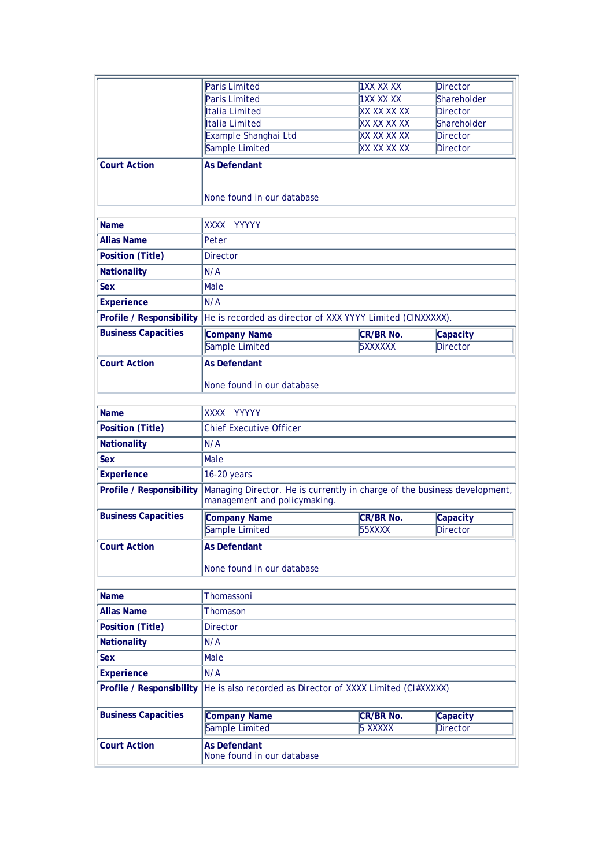|                                 | <b>Paris Limited</b>                                                                                      | <b>1XX XX XX</b>            | Director                    |  |
|---------------------------------|-----------------------------------------------------------------------------------------------------------|-----------------------------|-----------------------------|--|
|                                 | <b>Paris Limited</b>                                                                                      | <b>1XX XX XX</b>            | Shareholder                 |  |
|                                 | Italia Limited                                                                                            | <b>XX XX XX XX</b>          | <b>Director</b>             |  |
|                                 | Italia Limited                                                                                            | <b>XX XX XX XX</b>          | Shareholder                 |  |
|                                 | Example Shanghai Ltd                                                                                      | <b>XX XX XX XX</b>          | Director                    |  |
|                                 | Sample Limited                                                                                            | <b>XX XX XX XX</b>          | Director                    |  |
| <b>Court Action</b>             | <b>As Defendant</b><br>None found in our database                                                         |                             |                             |  |
| <b>Name</b>                     | XXXX<br><b>YYYYY</b>                                                                                      |                             |                             |  |
| <b>Alias Name</b>               | Peter                                                                                                     |                             |                             |  |
| <b>Position (Title)</b>         | <b>Director</b>                                                                                           |                             |                             |  |
| <b>Nationality</b>              | N/A                                                                                                       |                             |                             |  |
| Sex                             | Male                                                                                                      |                             |                             |  |
| <b>Experience</b>               | N/A                                                                                                       |                             |                             |  |
| Profile / Responsibility        | He is recorded as director of XXX YYYY Limited (CINXXXXX).                                                |                             |                             |  |
| <b>Business Capacities</b>      |                                                                                                           |                             |                             |  |
|                                 | <b>Company Name</b><br><b>Sample Limited</b>                                                              | <b>CR/BR No.</b><br>5XXXXXX | Capacity<br><b>Director</b> |  |
|                                 |                                                                                                           |                             |                             |  |
| <b>Court Action</b>             | <b>As Defendant</b>                                                                                       |                             |                             |  |
|                                 | None found in our database                                                                                |                             |                             |  |
| <b>Name</b>                     | <b>YYYYY</b><br>XXXX                                                                                      |                             |                             |  |
| <b>Position (Title)</b>         | <b>Chief Executive Officer</b>                                                                            |                             |                             |  |
| <b>Nationality</b>              | N/A                                                                                                       |                             |                             |  |
| Sex                             | Male                                                                                                      |                             |                             |  |
| <b>Experience</b>               | 16-20 years                                                                                               |                             |                             |  |
| <b>Profile / Responsibility</b> | Managing Director. He is currently in charge of the business development,<br>management and policymaking. |                             |                             |  |
| <b>Business Capacities</b>      | <b>Company Name</b>                                                                                       | <b>CR/BR No.</b>            | Capacity                    |  |
|                                 | Sample Limited                                                                                            | <b>55XXXX</b>               | <b>Director</b>             |  |
| <b>Court Action</b>             | <b>As Defendant</b>                                                                                       |                             |                             |  |
|                                 | None found in our database                                                                                |                             |                             |  |
| <b>Name</b>                     | Thomassoni                                                                                                |                             |                             |  |
| <b>Alias Name</b>               | Thomason                                                                                                  |                             |                             |  |
| <b>Position (Title)</b>         | <b>Director</b>                                                                                           |                             |                             |  |
| <b>Nationality</b>              | N/A                                                                                                       |                             |                             |  |
| <b>Sex</b>                      | Male                                                                                                      |                             |                             |  |
| <b>Experience</b>               | N/A                                                                                                       |                             |                             |  |
| Profile / Responsibility        | He is also recorded as Director of XXXX Limited (CI#XXXXX)                                                |                             |                             |  |
| <b>Business Capacities</b>      | <b>Company Name</b>                                                                                       | <b>CR/BR No.</b>            | Capacity                    |  |
|                                 | Sample Limited                                                                                            | 5 XXXXX                     | <b>Director</b>             |  |
| <b>Court Action</b>             | <b>As Defendant</b>                                                                                       |                             |                             |  |
|                                 | None found in our database                                                                                |                             |                             |  |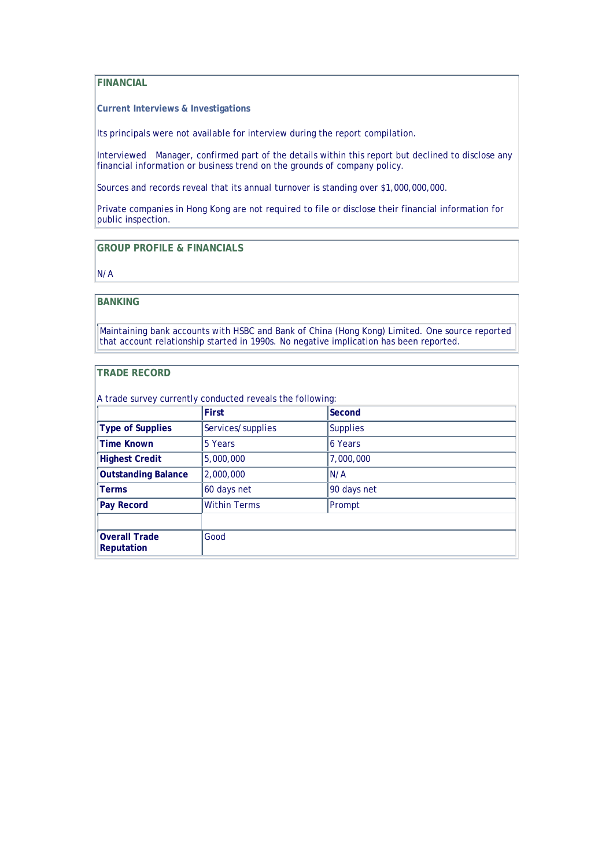#### **FINANCIAL**

**Current Interviews & Investigations** 

Its principals were not available for interview during the report compilation.

Interviewed Manager, confirmed part of the details within this report but declined to disclose any financial information or business trend on the grounds of company policy.

Sources and records reveal that its annual turnover is standing over \$1,000,000,000.

Private companies in Hong Kong are not required to file or disclose their financial information for public inspection.

**GROUP PROFILE & FINANCIALS**

N/A

#### **BANKING**

Maintaining bank accounts with HSBC and Bank of China (Hong Kong) Limited. One source reported that account relationship started in 1990s. No negative implication has been reported.

#### **TRADE RECORD**

|                                           | <b>First</b>        | Second          |  |
|-------------------------------------------|---------------------|-----------------|--|
| <b>Type of Supplies</b>                   | Services/supplies   | <b>Supplies</b> |  |
| <b>Time Known</b>                         | 5 Years             | 6 Years         |  |
| <b>Highest Credit</b>                     | 5,000,000           | 7,000,000       |  |
| <b>Outstanding Balance</b>                | 2,000,000           | N/A             |  |
| <b>Terms</b>                              | 60 days net         | 90 days net     |  |
| <b>Pay Record</b>                         | <b>Within Terms</b> | Prompt          |  |
|                                           |                     |                 |  |
| <b>Overall Trade</b><br><b>Reputation</b> | Good                |                 |  |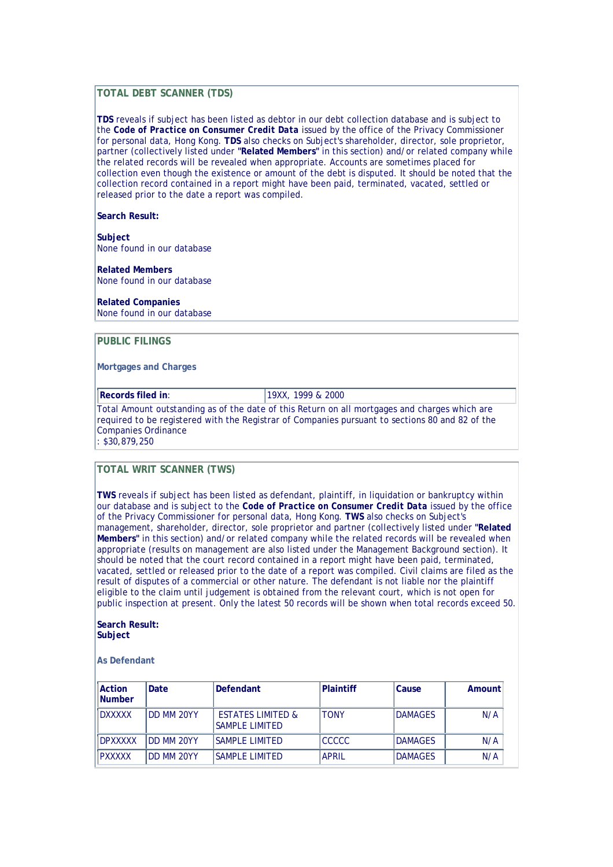#### **TOTAL DEBT SCANNER (TDS)**

**TDS** reveals if subject has been listed as debtor in our debt collection database and is subject to the *Code of Practice on Consumer Credit Data* issued by the office of the Privacy Commissioner for personal data, Hong Kong. **TDS** also checks on Subject's shareholder, director, sole proprietor, partner (collectively listed under **"Related Members"** in this section) and/or related company while the related records will be revealed when appropriate. Accounts are sometimes placed for collection even though the existence or amount of the debt is disputed. It should be noted that the collection record contained in a report might have been paid, terminated, vacated, settled or released prior to the date a report was compiled.

#### **Search Result:**

**Subject** None found in our database

**Related Members** None found in our database

#### **Related Companies**

None found in our database

#### **PUBLIC FILINGS**

**Mortgages and Charges** 

**Records filed in:** 19XX, 1999 & 2000

Total Amount outstanding as of the date of this Return on all mortgages and charges which are required to be registered with the Registrar of Companies pursuant to sections 80 and 82 of the Companies Ordinance

: \$30,879,250

#### **TOTAL WRIT SCANNER (TWS)**

**TWS** reveals if subject has been listed as defendant, plaintiff, in liquidation or bankruptcy within our database and is subject to the *Code of Practice on Consumer Credit Data* issued by the office of the Privacy Commissioner for personal data, Hong Kong. **TWS** also checks on Subject's management, shareholder, director, sole proprietor and partner (collectively listed under **"Related Members"** in this section) and/or related company while the related records will be revealed when appropriate (results on management are also listed under the Management Background section). It should be noted that the court record contained in a report might have been paid, terminated, vacated, settled or released prior to the date of a report was compiled. Civil claims are filed as the result of disputes of a commercial or other nature. The defendant is not liable nor the plaintiff eligible to the claim until judgement is obtained from the relevant court, which is not open for public inspection at present. Only the latest 50 records will be shown when total records exceed 50.

#### **Search Result: Subject**

#### **As Defendant**

| <b>Action</b><br><b>Number</b> | Date        | Defendant                                             | <b>Plaintiff</b> | Cause          | Amount |
|--------------------------------|-------------|-------------------------------------------------------|------------------|----------------|--------|
| <b>DXXXXX</b>                  | DD MM 20YY  | <b>ESTATES LIMITED &amp;</b><br><b>SAMPLE LIMITED</b> | <b>TONY</b>      | <b>DAMAGES</b> | N/A    |
| <b>DPXXXXX</b>                 | IDD MM 20YY | <b>SAMPLE LIMITED</b>                                 | <b>CCCCC</b>     | <b>DAMAGES</b> | N/A    |
| <b>PXXXXX</b>                  | IDD MM 20YY | ISAMPI F I IMITFD                                     | <b>APRIL</b>     | <b>DAMAGES</b> | N/A    |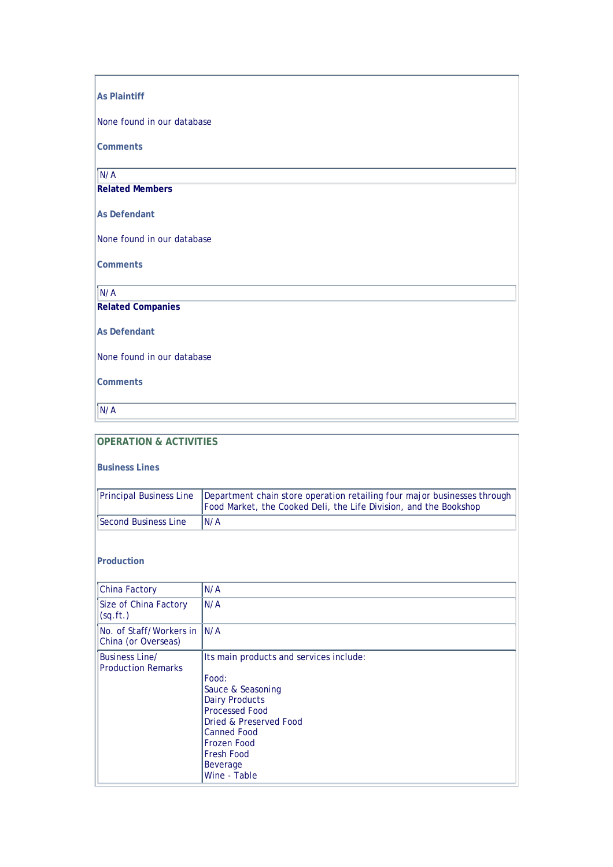#### **As Plaintiff**

None found in our database

**Comments** 

N/A

**Related Members**

**As Defendant** 

None found in our database

**Comments** 

 $N/A$ 

**Related Companies**

**As Defendant** 

None found in our database

**Comments** 

N/A

#### **OPERATION & ACTIVITIES**

**Business Lines** 

|                      | Principal Business Line   Department chain store operation retailing four major businesses through<br>Food Market, the Cooked Deli, the Life Division, and the Bookshop |
|----------------------|-------------------------------------------------------------------------------------------------------------------------------------------------------------------------|
| Second Business Line | IN/A                                                                                                                                                                    |

#### **Production**

| <b>China Factory</b>                               | N/A                                                                                                                                                                                                                                     |
|----------------------------------------------------|-----------------------------------------------------------------------------------------------------------------------------------------------------------------------------------------------------------------------------------------|
| Size of China Factory<br>(sq.fr.)                  | N/A                                                                                                                                                                                                                                     |
| No. of Staff/Workers in<br>China (or Overseas)     | IN/A                                                                                                                                                                                                                                    |
| <b>Business Line/</b><br><b>Production Remarks</b> | Its main products and services include:<br>Food:<br>Sauce & Seasoning<br><b>Dairy Products</b><br><b>Processed Food</b><br>Dried & Preserved Food<br><b>Canned Food</b><br>Frozen Food<br><b>Fresh Food</b><br>Beverage<br>Wine - Table |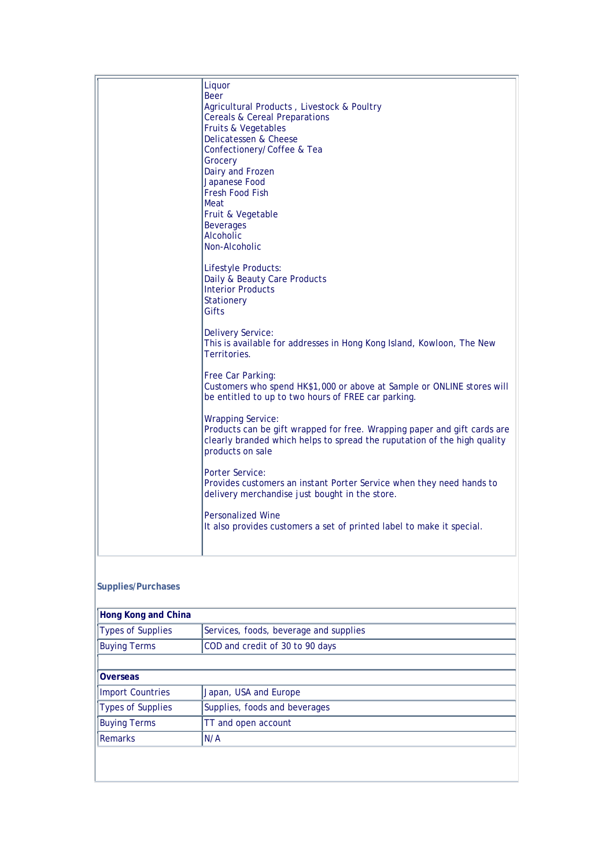| Liquor<br><b>Beer</b><br>Agricultural Products, Livestock & Poultry<br><b>Cereals &amp; Cereal Preparations</b><br>Fruits & Vegetables<br>Delicatessen & Cheese<br>Confectionery/Coffee & Tea<br>Grocery<br>Dairy and Frozen<br>Japanese Food<br><b>Fresh Food Fish</b><br>Meat<br>Fruit & Vegetable<br><b>Beverages</b><br>Alcoholic<br>Non-Alcoholic<br>Lifestyle Products:<br>Daily & Beauty Care Products<br><b>Interior Products</b><br><b>Stationery</b><br>Gifts<br><b>Delivery Service:</b><br>This is available for addresses in Hong Kong Island, Kowloon, The New<br>Territories.<br>Free Car Parking:<br>Customers who spend HK\$1,000 or above at Sample or ONLINE stores will<br>be entitled to up to two hours of FREE car parking.<br><b>Wrapping Service:</b><br>Products can be gift wrapped for free. Wrapping paper and gift cards are<br>clearly branded which helps to spread the ruputation of the high quality<br>products on sale<br><b>Porter Service:</b><br>Provides customers an instant Porter Service when they need hands to<br>delivery merchandise just bought in the store. |
|----------------------------------------------------------------------------------------------------------------------------------------------------------------------------------------------------------------------------------------------------------------------------------------------------------------------------------------------------------------------------------------------------------------------------------------------------------------------------------------------------------------------------------------------------------------------------------------------------------------------------------------------------------------------------------------------------------------------------------------------------------------------------------------------------------------------------------------------------------------------------------------------------------------------------------------------------------------------------------------------------------------------------------------------------------------------------------------------------------------|
| <b>Personalized Wine</b><br>It also provides customers a set of printed label to make it special.                                                                                                                                                                                                                                                                                                                                                                                                                                                                                                                                                                                                                                                                                                                                                                                                                                                                                                                                                                                                              |

#### **Supplies/Purchases**

| Hong Kong and China      |                                        |  |
|--------------------------|----------------------------------------|--|
| <b>Types of Supplies</b> | Services, foods, beverage and supplies |  |
| <b>Buying Terms</b>      | COD and credit of 30 to 90 days        |  |
|                          |                                        |  |
| <b>Overseas</b>          |                                        |  |
| <b>Import Countries</b>  | Japan, USA and Europe                  |  |
| <b>Types of Supplies</b> | Supplies, foods and beverages          |  |
| <b>Buying Terms</b>      | TT and open account                    |  |
| <b>Remarks</b>           | N/A                                    |  |
|                          |                                        |  |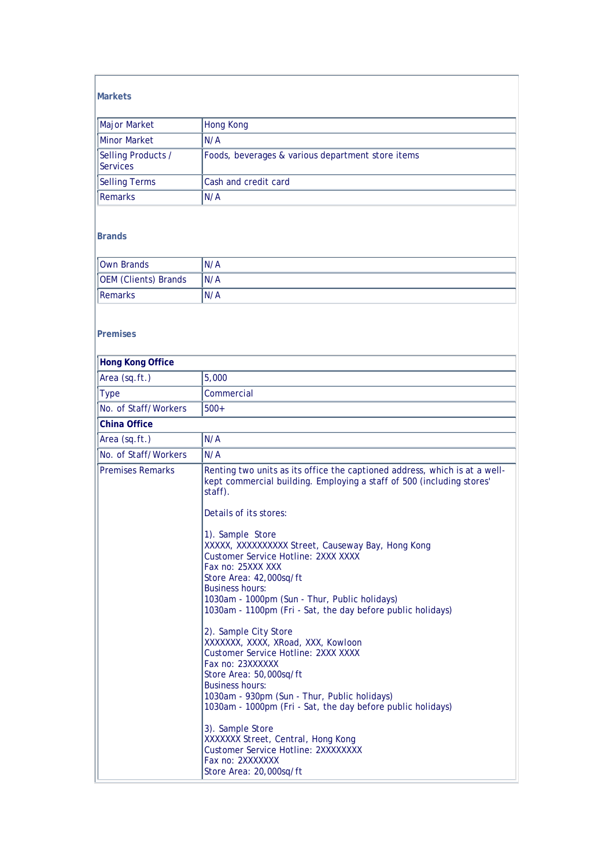#### **Markets**

| Major Market                   | Hong Kong                                         |
|--------------------------------|---------------------------------------------------|
| <b>Minor Market</b>            | N/A                                               |
| Selling Products /<br>Services | Foods, beverages & various department store items |
| <b>Selling Terms</b>           | Cash and credit card                              |
| Remarks                        | N/A                                               |

#### **Brands**

| Own Brands           | N/A  |
|----------------------|------|
| OEM (Clients) Brands | IN/A |
| Remarks              | N/A  |

#### **Premises**

| 5,000                                                                                                                                                                                                                                                                                                                                                                                                                                                                                                                                                                                                                                                                                                                                                                                                                                                                                                                                                         |
|---------------------------------------------------------------------------------------------------------------------------------------------------------------------------------------------------------------------------------------------------------------------------------------------------------------------------------------------------------------------------------------------------------------------------------------------------------------------------------------------------------------------------------------------------------------------------------------------------------------------------------------------------------------------------------------------------------------------------------------------------------------------------------------------------------------------------------------------------------------------------------------------------------------------------------------------------------------|
| Commercial                                                                                                                                                                                                                                                                                                                                                                                                                                                                                                                                                                                                                                                                                                                                                                                                                                                                                                                                                    |
| $500+$                                                                                                                                                                                                                                                                                                                                                                                                                                                                                                                                                                                                                                                                                                                                                                                                                                                                                                                                                        |
|                                                                                                                                                                                                                                                                                                                                                                                                                                                                                                                                                                                                                                                                                                                                                                                                                                                                                                                                                               |
| N/A                                                                                                                                                                                                                                                                                                                                                                                                                                                                                                                                                                                                                                                                                                                                                                                                                                                                                                                                                           |
| N/A                                                                                                                                                                                                                                                                                                                                                                                                                                                                                                                                                                                                                                                                                                                                                                                                                                                                                                                                                           |
| Renting two units as its office the captioned address, which is at a well-<br>kept commercial building. Employing a staff of 500 (including stores'<br>staff).<br>Details of its stores:<br>1). Sample Store<br>XXXXX, XXXXXXXXXX Street, Causeway Bay, Hong Kong<br><b>Customer Service Hotline: 2XXX XXXX</b><br>Fax no: 25XXX XXX<br>Store Area: 42,000sq/ft<br><b>Business hours:</b><br>1030am - 1000pm (Sun - Thur, Public holidays)<br>1030am - 1100pm (Fri - Sat, the day before public holidays)<br>2). Sample City Store<br>XXXXXXX, XXXX, XRoad, XXX, Kowloon<br><b>Customer Service Hotline: 2XXX XXXX</b><br>Fax no: 23XXXXXX<br>Store Area: 50,000sq/ft<br><b>Business hours:</b><br>1030am - 930pm (Sun - Thur, Public holidays)<br>1030am - 1000pm (Fri - Sat, the day before public holidays)<br>3). Sample Store<br>XXXXXX Street, Central, Hong Kong<br>Customer Service Hotline: 2XXXXXXXX<br>Fax no: 2XXXXXXX<br>Store Area: 20,000sq/ft |
|                                                                                                                                                                                                                                                                                                                                                                                                                                                                                                                                                                                                                                                                                                                                                                                                                                                                                                                                                               |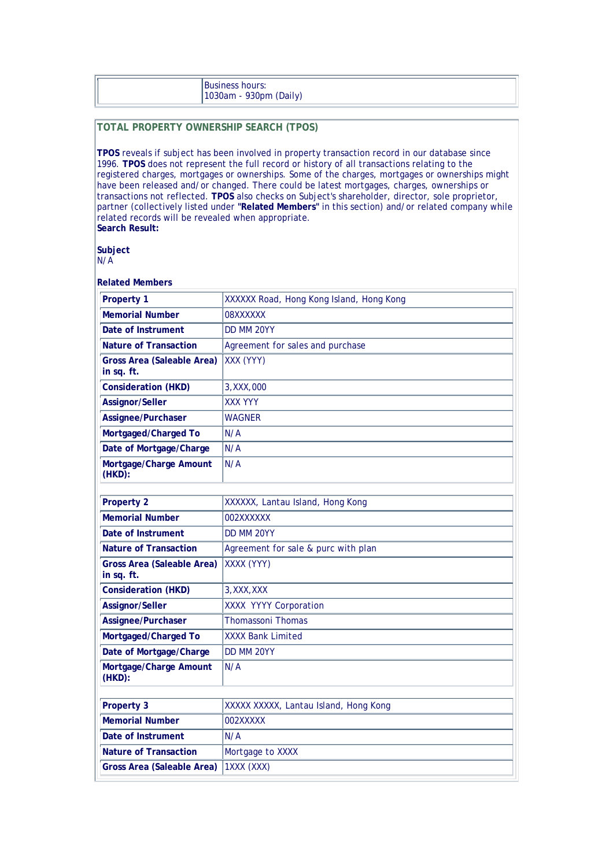| <b>Business hours:</b> |
|------------------------|
| 1030am - 930pm (Daily) |

#### **TOTAL PROPERTY OWNERSHIP SEARCH (TPOS)**

**TPOS** reveals if subject has been involved in property transaction record in our database since 1996. **TPOS** does not represent the full record or history of all transactions relating to the registered charges, mortgages or ownerships. Some of the charges, mortgages or ownerships might have been released and/or changed. There could be latest mortgages, charges, ownerships or transactions not reflected. **TPOS** also checks on Subject's shareholder, director, sole proprietor, partner (collectively listed under **"Related Members"** in this section) and/or related company while related records will be revealed when appropriate. **Search Result:**

**Subject**

N/A

#### **Related Members**

| <b>Property 1</b>                               | XXXXXX Road, Hong Kong Island, Hong Kong |
|-------------------------------------------------|------------------------------------------|
| <b>Memorial Number</b>                          | <b>NXXXXXX0</b>                          |
| Date of Instrument                              | DD MM 20YY                               |
| <b>Nature of Transaction</b>                    | Agreement for sales and purchase         |
| <b>Gross Area (Saleable Area)</b><br>in sq. ft. | XXX (YYY)                                |
| <b>Consideration (HKD)</b>                      | 3, XXX, 000                              |
| Assignor/Seller                                 | <b>XXX YYY</b>                           |
| Assignee/Purchaser                              | <b>WAGNER</b>                            |
| Mortgaged/Charged To                            | N/A                                      |
| Date of Mortgage/Charge                         | N/A                                      |
| Mortgage/Charge Amount<br>(HKD):                | N/A                                      |
|                                                 |                                          |
| <b>Property 2</b>                               | XXXXXX, Lantau Island, Hong Kong         |
| <b>Memorial Number</b>                          | 002XXXXXX                                |
| Date of Instrument                              | DD MM 20YY                               |
| <b>Nature of Transaction</b>                    | Agreement for sale & purc with plan      |
| <b>Gross Area (Saleable Area)</b><br>in sq. ft. | XXXX (YYY)                               |
| <b>Consideration (HKD)</b>                      | 3, XXX, XXX                              |
| Assignor/Seller                                 | XXXX YYYY Corporation                    |
| Assignee/Purchaser                              | <b>Thomassoni Thomas</b>                 |
| Mortgaged/Charged To                            | <b>XXXX Bank Limited</b>                 |
| Date of Mortgage/Charge                         | DD MM 20YY                               |
| Mortgage/Charge Amount<br>$(HKD)$ :             | N/A                                      |
|                                                 |                                          |
| <b>Property 3</b>                               | XXXXX XXXXX, Lantau Island, Hong Kong    |
| <b>Memorial Number</b>                          | 002XXXXX                                 |
| Date of Instrument                              | N/A                                      |
| <b>Nature of Transaction</b>                    | Mortgage to XXXX                         |
| <b>Gross Area (Saleable Area)</b>               | 1XXX (XXX)                               |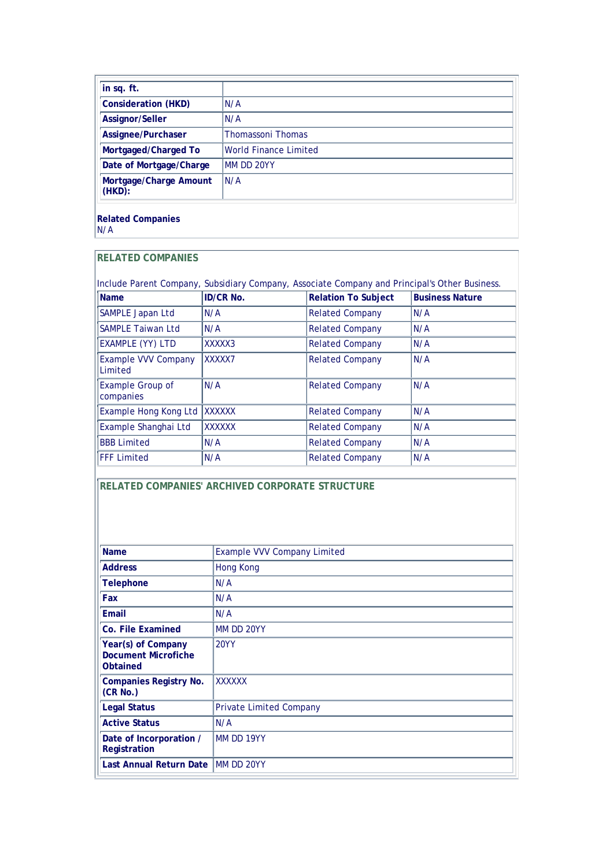| in sq. ft.                       |                              |
|----------------------------------|------------------------------|
| <b>Consideration (HKD)</b>       | N/A                          |
| Assignor/Seller                  | N/A                          |
| Assignee/Purchaser               | <b>Thomassoni Thomas</b>     |
| Mortgaged/Charged To             | <b>World Finance Limited</b> |
| Date of Mortgage/Charge          | MM DD 20YY                   |
| Mortgage/Charge Amount<br>(HKD): | N/A                          |

**Related Companies** N/A

#### **RELATED COMPANIES**

| Include Parent Company, Subsidiary Company, Associate Company and Principal's Other Business. |                  |                            |                        |  |  |  |  |
|-----------------------------------------------------------------------------------------------|------------------|----------------------------|------------------------|--|--|--|--|
| Name                                                                                          | <b>ID/CR No.</b> | <b>Relation To Subject</b> | <b>Business Nature</b> |  |  |  |  |
| SAMPLE Japan Ltd                                                                              | N/A              | <b>Related Company</b>     | N/A                    |  |  |  |  |
| <b>SAMPLE Taiwan Ltd</b>                                                                      | N/A              | <b>Related Company</b>     | N/A                    |  |  |  |  |
| <b>EXAMPLE (YY) LTD</b>                                                                       | XXXXX3           | <b>Related Company</b>     | N/A                    |  |  |  |  |
| <b>Example VVV Company</b><br>Limited                                                         | XXXXX7           | <b>Related Company</b>     | N/A                    |  |  |  |  |
| <b>Example Group of</b><br>companies                                                          | N/A              | <b>Related Company</b>     | N/A                    |  |  |  |  |
| Example Hong Kong Ltd                                                                         | <b>XXXXXX</b>    | <b>Related Company</b>     | N/A                    |  |  |  |  |
| Example Shanghai Ltd                                                                          | XXXXXX           | <b>Related Company</b>     | N/A                    |  |  |  |  |
| <b>BBB Limited</b>                                                                            | N/A              | <b>Related Company</b>     | N/A                    |  |  |  |  |
| <b>FFF Limited</b>                                                                            | N/A              | <b>Related Company</b>     | N/A                    |  |  |  |  |

**RELATED COMPANIES' ARCHIVED CORPORATE STRUCTURE**

| <b>Name</b>                                                  | <b>Example VVV Company Limited</b> |
|--------------------------------------------------------------|------------------------------------|
| <b>Address</b>                                               | <b>Hong Kong</b>                   |
| <b>Telephone</b>                                             | N/A                                |
| Fax                                                          | N/A                                |
| Email                                                        | N/A                                |
| Co. File Examined                                            | MM DD 20YY                         |
| Year(s) of Company<br><b>Document Microfiche</b><br>Obtained | <b>20YY</b>                        |
| <b>Companies Registry No.</b><br>(CR No.)                    | <b>XXXXXX</b>                      |
| <b>Legal Status</b>                                          | <b>Private Limited Company</b>     |
| <b>Active Status</b>                                         | N/A                                |
| Date of Incorporation /<br>Registration                      | MM DD 19YY                         |
| Last Annual Return Date                                      | <b>IMM DD 20YY</b>                 |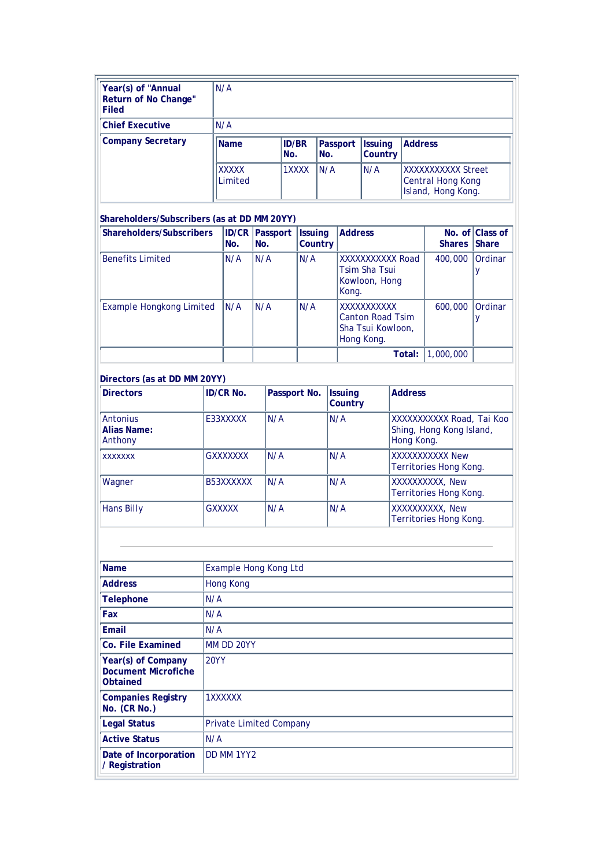| Year(s) of "Annual<br>Return of No Change"<br><b>Filed</b> | N/A                     |                     |                 |                                  |                                                                      |
|------------------------------------------------------------|-------------------------|---------------------|-----------------|----------------------------------|----------------------------------------------------------------------|
| <b>Chief Executive</b>                                     | N/A                     |                     |                 |                                  |                                                                      |
| <b>Company Secretary</b>                                   | <b>Name</b>             | <b>ID/BR</b><br>No. | Passport<br>No. | <b>Issuing</b><br><b>Country</b> | <b>Address</b>                                                       |
|                                                            | <b>XXXXX</b><br>Limited | 1XXXX               | N/A             | IN/A                             | <b>XXXXXXXXXXX</b> Street<br>Central Hong Kong<br>Island, Hong Kong. |

#### **Shareholders/Subscribers (as at DD MM 20YY)**

| Shareholders/Subscribers        | No. | <b>ID/CR Passport</b><br>No. | <b>Issuing</b><br><b>Country</b> | <b>Address</b>                                                            | <b>Shares Share</b> | No. of Class of |
|---------------------------------|-----|------------------------------|----------------------------------|---------------------------------------------------------------------------|---------------------|-----------------|
| <b>Benefits Limited</b>         | N/A | N/A                          | N/A                              | XXXXXXXXXX Road<br><b>Tsim Sha Tsui</b><br>Kowloon, Hong<br>Kong.         | 400,000             | Ordinar         |
| <b>Example Hongkong Limited</b> | N/A | N/A                          | N/A                              | XXXXXXXXXXX<br><b>Canton Road Tsim</b><br>Sha Tsui Kowloon,<br>Hong Kong. | 600,000             | Ordinar         |
|                                 |     |                              |                                  | Total:                                                                    | 1,000,000           |                 |

| Directors (as at DD MM 20YY)       |                  |              |                           |                                                                    |
|------------------------------------|------------------|--------------|---------------------------|--------------------------------------------------------------------|
| <b>Directors</b>                   | <b>ID/CR No.</b> | Passport No. | <b>Issuing</b><br>Country | <b>Address</b>                                                     |
| Antonius<br>Alias Name:<br>Anthony | E33XXXXX         | N/A          | N/A                       | XXXXXXXXXX Road, Tai Koo<br>Shing, Hong Kong Island,<br>Hong Kong. |
| <b>XXXXXXX</b>                     | <b>GXXXXXXX</b>  | N/A          | N/A                       | XXXXXXXXXX New<br>Territories Hong Kong.                           |
| Wagner                             | B53XXXXXX        | N/A          | N/A                       | XXXXXXXXXX, New<br>Territories Hong Kong.                          |
| <b>Hans Billy</b>                  | <b>GXXXXX</b>    | N/A          | N/A                       | XXXXXXXXXX, New<br>Territories Hong Kong.                          |

| <b>Name</b>                                                         | Example Hong Kong Ltd          |
|---------------------------------------------------------------------|--------------------------------|
| <b>Address</b>                                                      | <b>Hong Kong</b>               |
| <b>Telephone</b>                                                    | N/A                            |
| Fax                                                                 | N/A                            |
| Email                                                               | N/A                            |
| Co. File Examined                                                   | MM DD 20YY                     |
| Year(s) of Company<br><b>Document Microfiche</b><br><b>Obtained</b> | <b>20YY</b>                    |
| <b>Companies Registry</b><br>No. (CR No.)                           | 1XXXXXX                        |
| <b>Legal Status</b>                                                 | <b>Private Limited Company</b> |
| <b>Active Status</b>                                                | N/A                            |
| Date of Incorporation<br>/ Registration                             | DD MM 1YY2                     |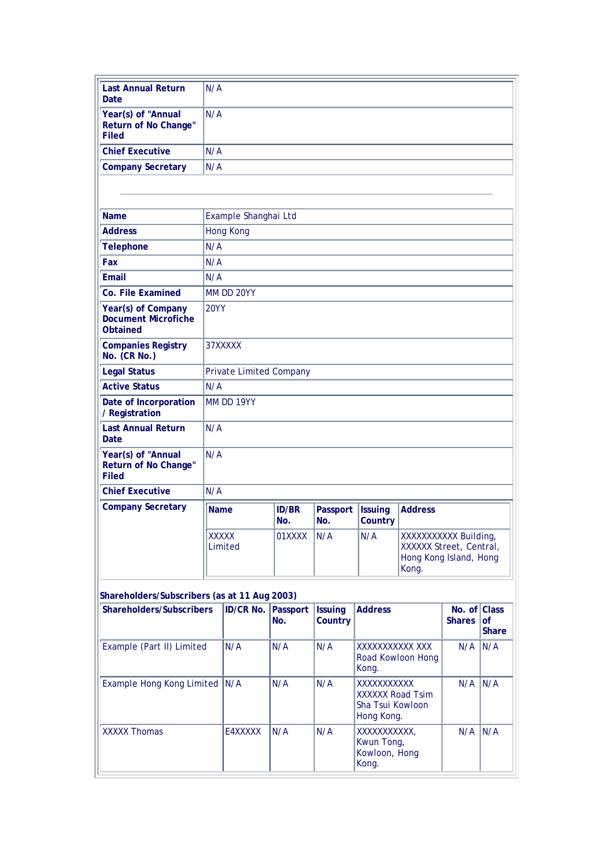| <b>Last Annual Return</b><br><b>Date</b>                            | N/A                            |                     |                 |                           |                                                                                    |  |  |  |
|---------------------------------------------------------------------|--------------------------------|---------------------|-----------------|---------------------------|------------------------------------------------------------------------------------|--|--|--|
| Year(s) of "Annual<br>Return of No Change"<br><b>Filed</b>          | N/A                            |                     |                 |                           |                                                                                    |  |  |  |
| <b>Chief Executive</b>                                              | N/A                            |                     |                 |                           |                                                                                    |  |  |  |
| <b>Company Secretary</b>                                            | N/A                            |                     |                 |                           |                                                                                    |  |  |  |
|                                                                     |                                |                     |                 |                           |                                                                                    |  |  |  |
|                                                                     |                                |                     |                 |                           |                                                                                    |  |  |  |
| <b>Name</b>                                                         | Example Shanghai Ltd           |                     |                 |                           |                                                                                    |  |  |  |
| <b>Address</b>                                                      | <b>Hong Kong</b>               |                     |                 |                           |                                                                                    |  |  |  |
| <b>Telephone</b>                                                    | N/A                            |                     |                 |                           |                                                                                    |  |  |  |
| Fax                                                                 | N/A                            |                     |                 |                           |                                                                                    |  |  |  |
| Email                                                               | N/A                            |                     |                 |                           |                                                                                    |  |  |  |
| Co. File Examined                                                   | MM DD 20YY                     |                     |                 |                           |                                                                                    |  |  |  |
| Year(s) of Company<br><b>Document Microfiche</b><br><b>Obtained</b> | <b>20YY</b>                    |                     |                 |                           |                                                                                    |  |  |  |
| <b>Companies Registry</b><br>No. (CR No.)                           | 37XXXXX                        |                     |                 |                           |                                                                                    |  |  |  |
| <b>Legal Status</b>                                                 | <b>Private Limited Company</b> |                     |                 |                           |                                                                                    |  |  |  |
| <b>Active Status</b>                                                | N/A                            |                     |                 |                           |                                                                                    |  |  |  |
| Date of Incorporation<br>/ Registration                             | MM DD 19YY                     |                     |                 |                           |                                                                                    |  |  |  |
| <b>Last Annual Return</b><br>Date                                   | N/A                            |                     |                 |                           |                                                                                    |  |  |  |
| Year(s) of "Annual<br>Return of No Change"<br><b>Filed</b>          | N/A                            |                     |                 |                           |                                                                                    |  |  |  |
| <b>Chief Executive</b>                                              | N/A                            |                     |                 |                           |                                                                                    |  |  |  |
| <b>Company Secretary</b>                                            | <b>Name</b>                    | <b>ID/BR</b><br>No. | Passport<br>No. | <b>Issuing</b><br>Country | <b>Address</b>                                                                     |  |  |  |
|                                                                     | <b>XXXXX</b><br>Limited        | 01XXXX              | N/A             | N/A                       | XXXXXXXXXX Building,<br>XXXXXX Street, Central,<br>Hong Kong Island, Hong<br>Kong. |  |  |  |

| Shareholders/Subscribers      | <b>ID/CR No.</b> | Passport<br>No. | <b>Issuing</b><br>Country | <b>Address</b>                                                    | No. of Class<br><b>Shares</b> | lof<br><b>Share</b> |
|-------------------------------|------------------|-----------------|---------------------------|-------------------------------------------------------------------|-------------------------------|---------------------|
| Example (Part II) Limited     | N/A              | N/A             | N/A                       | XXXXXXXXXX XXX<br>Road Kowloon Hong<br>Kong.                      | N/A                           | IN/A                |
| Example Hong Kong Limited N/A |                  | N/A             | N/A                       | XXXXXXXXXXX<br>XXXXXX Road Tsim<br>Sha Tsui Kowloon<br>Hong Kong. | N/A                           | IN/A                |
| <b>XXXXX Thomas</b>           | E4XXXXX          | N/A             | N/A                       | XXXXXXXXXXX.<br>Kwun Tong,<br>Kowloon, Hong<br>Kong.              | N/A                           | IN/A                |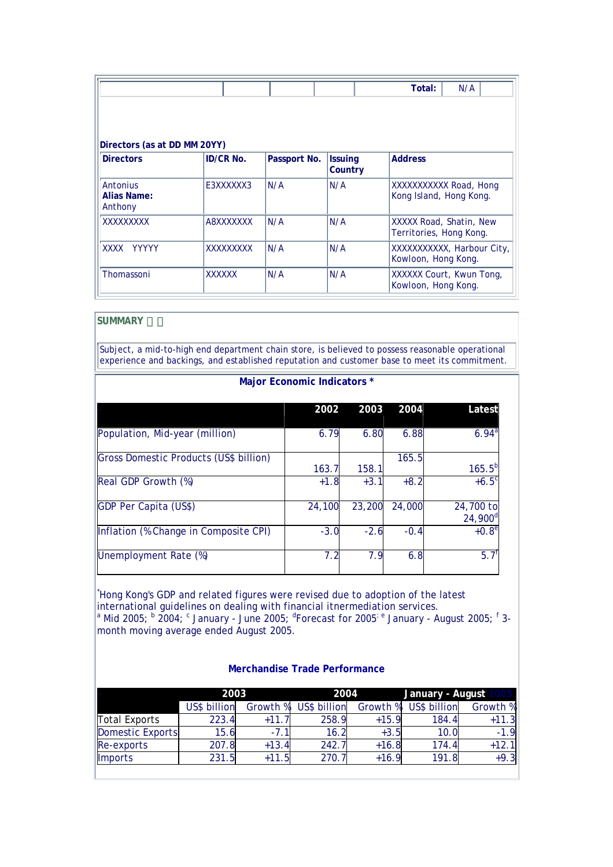|                                                  |                  |              |                | Total:<br>N/A                                      |
|--------------------------------------------------|------------------|--------------|----------------|----------------------------------------------------|
|                                                  |                  |              |                |                                                    |
| Directors (as at DD MM 20YY)<br><b>Directors</b> | <b>ID/CR No.</b> | Passport No. | <b>Issuing</b> | <b>Address</b>                                     |
|                                                  |                  |              | Country        |                                                    |
| Antonius<br>Alias Name:<br>Anthony               | E3XXXXXX3        | N/A          | N/A            | XXXXXXXXXX Road, Hong<br>Kong Island, Hong Kong.   |
| XXXXXXXXX                                        | A8XXXXXXX        | N/A          | N/A            | XXXXX Road, Shatin, New<br>Territories, Hong Kong. |
| XXXX<br><b>YYYYY</b>                             | XXXXXXXX         | N/A          | N/A            | XXXXXXXXXX, Harbour City,<br>Kowloon, Hong Kong.   |
| Thomassoni                                       | <b>XXXXXX</b>    | N/A          | N/A            | XXXXXX Court, Kwun Tong,<br>Kowloon, Hong Kong.    |

#### **SUMMARY**

Subject, a mid-to-high end department chain store, is believed to possess reasonable operational experience and backings, and established reputation and customer base to meet its commitment.

#### **Major Economic Indicators \***

|                                        | 2002   | 2003   | 2004   | Latest                  |
|----------------------------------------|--------|--------|--------|-------------------------|
| Population, Mid-year (million)         | 6.79   | 6.80   | 6.88   | $6.94^{a}$              |
| Gross Domestic Products (US\$ billion) | 163.7  | 158.1  | 165.5  | $165.5^{b}$             |
| Real GDP Growth (%)                    | $+1.8$ | $+3.1$ | $+8.2$ | $+6.5^{\circ}$          |
| <b>GDP Per Capita (US\$)</b>           | 24,100 | 23,200 | 24,000 | 24,700 to<br>$24,900^d$ |
| Inflation (% Change in Composite CPI)  | $-3.0$ | $-2.6$ | $-0.4$ | $+0.8^{\circ}$          |
| Unemployment Rate (%)                  | 7.2    | 7.9    | 6.8    | $5.7^{\circ}$           |

\* Hong Kong's GDP and related figures were revised due to adoption of the latest international guidelines on dealing with financial itnermediation services.<br><sup>a</sup> Mid 2005; <sup>b</sup> 2004; <sup>c</sup> January - June 2005; <sup>d</sup>Forecast for 2005<sup>; e</sup> January - August 2005; <sup>f</sup> 3month moving average ended August 2005.

|                  | 2003         |          | 2004         |          | January - August |          |
|------------------|--------------|----------|--------------|----------|------------------|----------|
|                  | US\$ billion | Growth % | US\$ billion | Growth % | US\$ billion     | Growth % |
| Total Exports    | 223.4        | $+11.7$  | 258.9        | $+15.9$  | 184.4            | $+11.3$  |
| Domestic Exports | 15.6         | $-7.1$   | 16.2         | $+3.5$   | 10.0             | $-1.9$   |
| $Re-exports$     | 207.8        | $+13.4$  | 242.7        | $+16.8$  | 174.4            | $+12.1$  |
| <b>Imports</b>   | 231.5        | $+11.5$  | 270.7        | $+16.9$  | 191.8            | $+9.3$   |

#### **Merchandise Trade Performance**